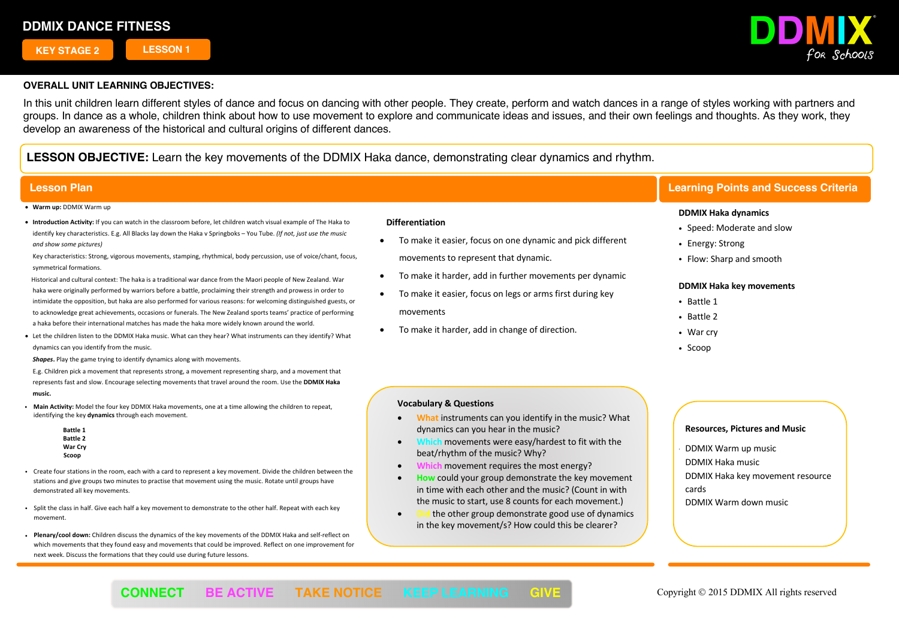**KEY STAGE 2 LESSON 1**



## **OVERALL UNIT LEARNING OBJECTIVES:**

In this unit children learn different styles of dance and focus on dancing with other people. They create, perform and watch dances in a range of styles working with partners and groups. In dance as a whole, children think about how to use movement to explore and communicate ideas and issues, and their own feelings and thoughts. As they work, they develop an awareness of the historical and cultural origins of different dances.

**LESSON OBJECTIVE:** Learn the key movements of the DDMIX Haka dance, demonstrating clear dynamics and rhythm.

- **Warm up:** DDMIX Warm up
- **Introduction Activity:** If you can watch in the classroom before, let children watch visual example of The Haka to identify key characteristics. E.g. All Blacks lay down the Haka v Springboks – You Tube. *(If not, just use the music and show some pictures)*

Key characteristics: Strong, vigorous movements, stamping, rhythmical, body percussion, use of voice/chant, focus, symmetrical formations.

 Historical and cultural context: The haka is a traditional war dance from the Maori people of New Zealand. War haka were originally performed by warriors before a battle, proclaiming their strength and prowess in order to intimidate the opposition, but haka are also performed for various reasons: for welcoming distinguished guests, or to acknowledge great achievements, occasions or funerals. The New Zealand sports teams' practice of performing a haka before their international matches has made the haka more widely known around the world.

• Let the children listen to the DDMIX Haka music. What can they hear? What instruments can they identify? What dynamics can you identify from the music.

*Shapes***.** Play the game trying to identify dynamics along with movements.

E.g. Children pick a movement that represents strong, a movement representing sharp, and a movement that represents fast and slow. Encourage selecting movements that travel around the room. Use the **DDMIX Haka music.**

- ! **Main Activity:** Model the four key DDMIX Haka movements, one at a time allowing the children to repeat, identifying the key **dynamics** through each movement.
	- **Battle 1 Battle 2 War Cry Scoop**
- ! Create four stations in the room, each with a card to represent a key movement. Divide the children between the stations and give groups two minutes to practise that movement using the music. Rotate until groups have demonstrated all key movements.
- ! Split the class in half. Give each half a key movement to demonstrate to the other half. Repeat with each key movement.
- ! **Plenary/cool down:** Children discuss the dynamics of the key movements of the DDMIX Haka and self-reflect on which movements that they found easy and movements that could be improved. Reflect on one improvement for next week. Discuss the formations that they could use during future lessons.

#### **Differentiation**

- To make it easier, focus on one dynamic and pick different movements to represent that dynamic.
- To make it harder, add in further movements per dynamic
- To make it easier, focus on legs or arms first during key movements
- To make it harder, add in change of direction.

## **Lesson Plan Learning Points and Success Criteria**

### **DDMIX Haka dynamics**

- Speed: Moderate and slow
- Energy: Strong
- Flow: Sharp and smooth

#### **DDMIX Haka key movements**

- . Rattle 1
- Battle 2
- War cry
- $\cdot$  Scoop

### **Vocabulary & Questions**

- **What** instruments can you identify in the music? What dynamics can you hear in the music?
- movements were easy/hardest to fit with the beat/rhythm of the music? Why?
- **Which** movement requires the most energy?
- **How** could your group demonstrate the key movement in time with each other and the music? (Count in with the music to start, use 8 counts for each movement.)
- **Did** the other group demonstrate good use of dynamics in the key movement/s? How could this be clearer?

#### **Resources, Pictures and Music**

- ! DDMIX Warm up music
- DDMIX Haka music
- DDMIX Haka key movement resource
- cards
- DDMIX Warm down music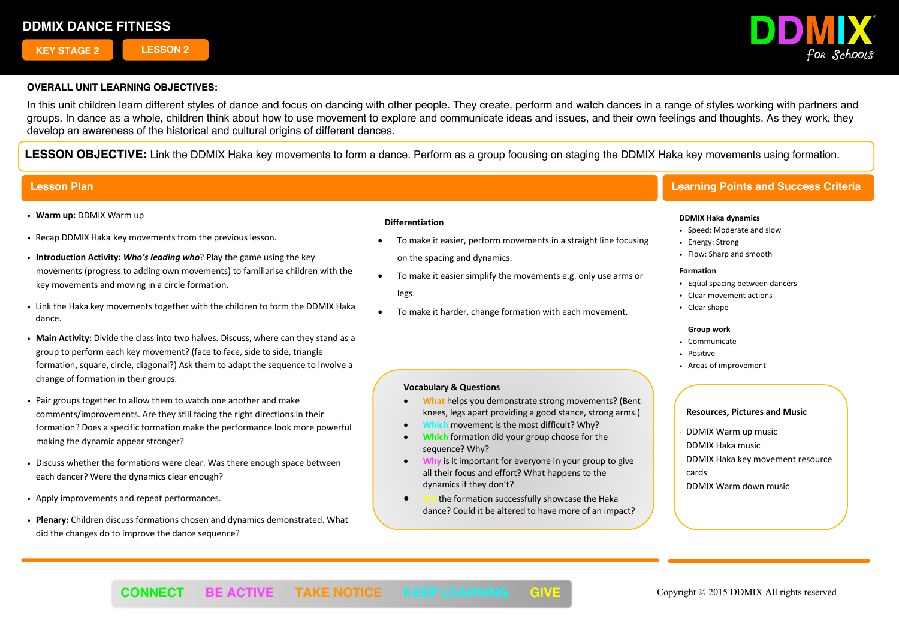**KEY STAGE 2 LESSON 2**



## **OVERALL UNIT LEARNING OBJECTIVES:**

In this unit children learn different styles of dance and focus on dancing with other people. They create, perform and watch dances in a range of styles working with partners and groups. In dance as a whole, children think about how to use movement to explore and communicate ideas and issues, and their own feelings and thoughts. As they work, they develop an awareness of the historical and cultural origins of different dances.

**LESSON OBJECTIVE:** Link the DDMIX Haka key movements to form a dance. Perform as a group focusing on staging the DDMIX Haka key movements using formation.

# **Lesson Plan Learning Points and Success Criteria**

- ! **Warm up:** DDMIX Warm up
- ! Recap DDMIX Haka key movements from the previous lesson.
- ! **Introduction Activity:** *Who's leading who*? Play the game using the key movements (progress to adding own movements) to familiarise children with the key movements and moving in a circle formation.
- ! Link the Haka key movements together with the children to form the DDMIX Haka dance.
- ! **Main Activity:** Divide the class into two halves. Discuss, where can they stand as a group to perform each key movement? (face to face, side to side, triangle formation, square, circle, diagonal?) Ask them to adapt the sequence to involve a change of formation in their groups.
- ! Pair groups together to allow them to watch one another and make comments/improvements. Are they still facing the right directions in their formation? Does a specific formation make the performance look more powerful making the dynamic appear stronger?
- . Discuss whether the formations were clear. Was there enough space between each dancer? Were the dynamics clear enough?
- ! Apply improvements and repeat performances.
- ! **Plenary:** Children discuss formations chosen and dynamics demonstrated. What did the changes do to improve the dance sequence?

### **Differentiation**

- To make it easier, perform movements in a straight line focusing on the spacing and dynamics.
- To make it easier simplify the movements e.g. only use arms or legs.
- To make it harder, change formation with each movement.

## **Vocabulary & Questions**

- **What** helps you demonstrate strong movements? (Bent knees, legs apart providing a good stance, strong arms.)
- **Which** movement is the most difficult? Why?
- **Which** formation did your group choose for the sequence? Why?
- **Why** is it important for everyone in your group to give all their focus and effort? What happens to the dynamics if they don't?
- **Did** the formation successfully showcase the Haka dance? Could it be altered to have more of an impact?

### **DDMIX Haka dynamics**

- ! Speed: Moderate and slow
- Energy: Strong
- Flow: Sharp and smooth

#### **Formation**

- Equal spacing between dancers
- Clear movement actions
- Clear shape

#### **Group work**

- Communicate
- Positive
- ! Areas of improvement

#### **Resources, Pictures and Music**

! DDMIX Warm up music

DDMIX Haka music

DDMIX Haka key movement resource cards

DDMIX Warm down music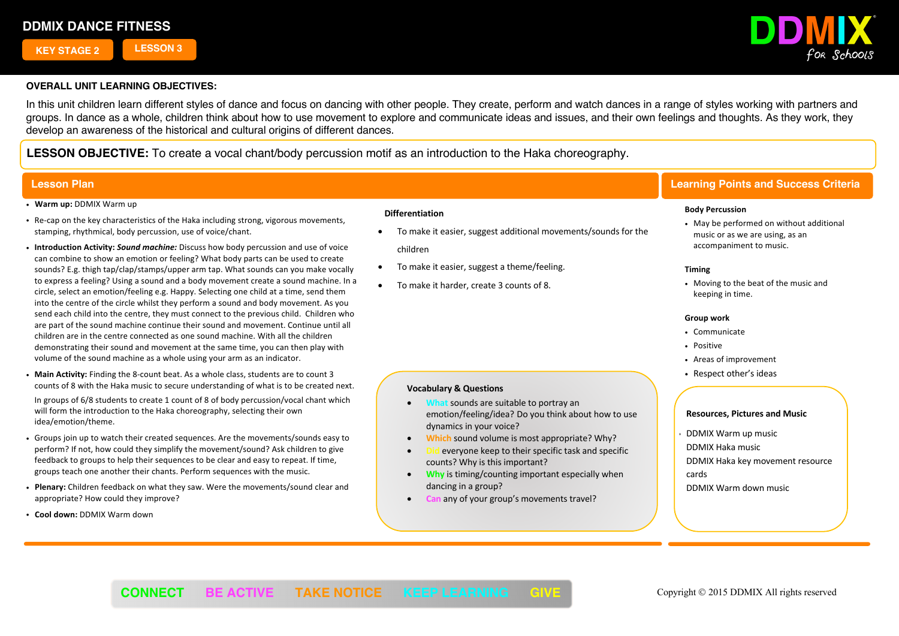**KEY STAGE 2 LESSON 3**



## **OVERALL UNIT LEARNING OBJECTIVES:**

In this unit children learn different styles of dance and focus on dancing with other people. They create, perform and watch dances in a range of styles working with partners and groups. In dance as a whole, children think about how to use movement to explore and communicate ideas and issues, and their own feelings and thoughts. As they work, they develop an awareness of the historical and cultural origins of different dances.

**LESSON OBJECTIVE:** To create a vocal chant/body percussion motif as an introduction to the Haka choreography.

### ! **Warm up:** DDMIX Warm up

- ! Re-cap on the key characteristics of the Haka including strong, vigorous movements, stamping, rhythmical, body percussion, use of voice/chant.
- ! **Introduction Activity:** *Sound machine:* Discuss how body percussion and use of voice can combine to show an emotion or feeling? What body parts can be used to create sounds? E.g. thigh tap/clap/stamps/upper arm tap. What sounds can you make vocally to express a feeling? Using a sound and a body movement create a sound machine. In a circle, select an emotion/feeling e.g. Happy. Selecting one child at a time, send them into the centre of the circle whilst they perform a sound and body movement. As you send each child into the centre, they must connect to the previous child. Children who are part of the sound machine continue their sound and movement. Continue until all children are in the centre connected as one sound machine. With all the children demonstrating their sound and movement at the same time, you can then play with volume of the sound machine as a whole using your arm as an indicator.
- ! **Main Activity:** Finding the 8-count beat. As a whole class, students are to count 3 counts of 8 with the Haka music to secure understanding of what is to be created next.

In groups of 6/8 students to create 1 count of 8 of body percussion/vocal chant which will form the introduction to the Haka choreography, selecting their own idea/emotion/theme.

- ! Groups join up to watch their created sequences. Are the movements/sounds easy to perform? If not, how could they simplify the movement/sound? Ask children to give feedback to groups to help their sequences to be clear and easy to repeat. If time, groups teach one another their chants. Perform sequences with the music.
- ! **Plenary:** Children feedback on what they saw. Were the movements/sound clear and appropriate? How could they improve?
- ! **Cool down:** DDMIX Warm down

#### **Differentiation**

- To make it easier, suggest additional movements/sounds for the children
- To make it easier, suggest a theme/feeling.
- To make it harder, create 3 counts of 8.

**Vocabulary & Questions**

dynamics in your voice?

## **Lesson Plan Learning Points and Success Criteria**

#### **Body Percussion**

• May be performed on without additional music or as we are using, as an accompaniment to music.

#### **Timing**

. Moving to the beat of the music and keeping in time.

#### **Group work**

- Communicate
- Positive
- ! Areas of improvement
- Respect other's ideas

# **Resources, Pictures and Music**

- ! DDMIX Warm up music
- DDMIX Haka music
- **Why** is timing/counting important especially when dancing in a group?

emotion/feeling/idea? Do you think about how to use

everyone keep to their specific task and specific

• **Can** any of your group's movements travel?

• **Which** sound volume is most appropriate? Why?

• **What** sounds are suitable to portray an

counts? Why is this important?

- DDMIX Haka key movement resource cards
- DDMIX Warm down music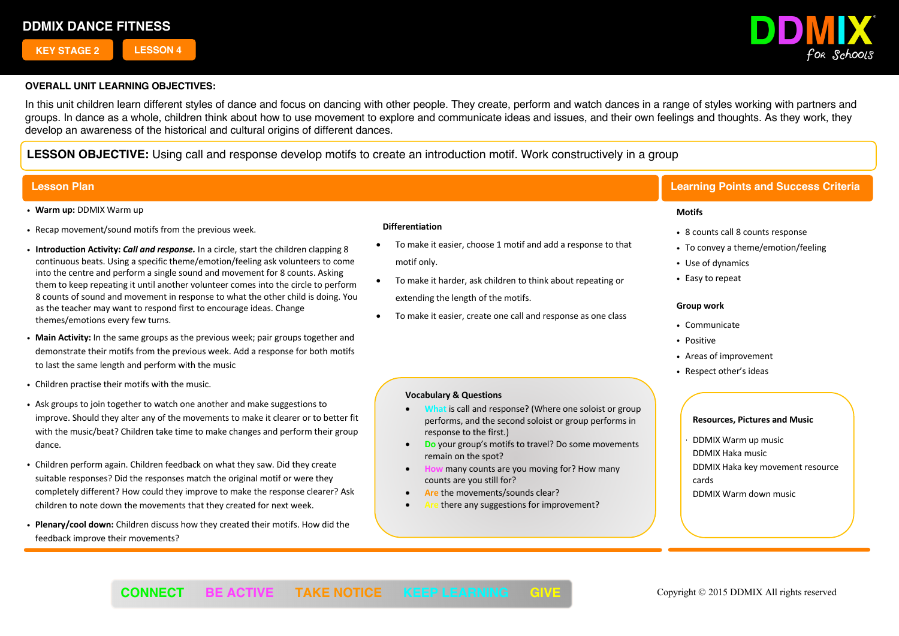**KEY STAGE 2 LESSON 4**



## **OVERALL UNIT LEARNING OBJECTIVES:**

feedback improve their movements?

In this unit children learn different styles of dance and focus on dancing with other people. They create, perform and watch dances in a range of styles working with partners and groups. In dance as a whole, children think about how to use movement to explore and communicate ideas and issues, and their own feelings and thoughts. As they work, they develop an awareness of the historical and cultural origins of different dances.

**LESSON OBJECTIVE:** Using call and response develop motifs to create an introduction motif. Work constructively in a group

#### ! **Warm up:** DDMIX Warm up ! Recap movement/sound motifs from the previous week. ! **Introduction Activity:** *Call and response.* In a circle, start the children clapping 8 continuous beats. Using a specific theme/emotion/feeling ask volunteers to come into the centre and perform a single sound and movement for 8 counts. Asking them to keep repeating it until another volunteer comes into the circle to perform 8 counts of sound and movement in response to what the other child is doing. You as the teacher may want to respond first to encourage ideas. Change themes/emotions every few turns. ! **Main Activity:** In the same groups as the previous week; pair groups together and demonstrate their motifs from the previous week. Add a response for both motifs to last the same length and perform with the music . Children practise their motifs with the music. ! Ask groups to join together to watch one another and make suggestions to improve. Should they alter any of the movements to make it clearer or to better fit with the music/beat? Children take time to make changes and perform their group dance. . Children perform again. Children feedback on what they saw. Did they create suitable responses? Did the responses match the original motif or were they completely different? How could they improve to make the response clearer? Ask children to note down the movements that they created for next week. ! **Plenary/cool down:** Children discuss how they created their motifs. How did the **Resources, Pictures and Music** ! DDMIX Warm up music DDMIX Haka music DDMIX Haka key movement resource cards DDMIX Warm down music **Lesson Plan Learning Points and Success Criteria Motifs** • 8 counts call 8 counts response • To convey a theme/emotion/feeling • Use of dynamics • Easy to repeat **Group work** ! Communicate • Positive ! Areas of improvement • Respect other's ideas  **Differentiation** • To make it easier, choose 1 motif and add a response to that motif only. • To make it harder, ask children to think about repeating or extending the length of the motifs. • To make it easier, create one call and response as one class **Vocabulary & Questions** • **What** is call and response? (Where one soloist or group performs, and the second soloist or group performs in response to the first.) • **Do** your group's motifs to travel? Do some movements remain on the spot? • **How** many counts are you moving for? How many counts are you still for? Are the movements/sounds clear? there any suggestions for improvement?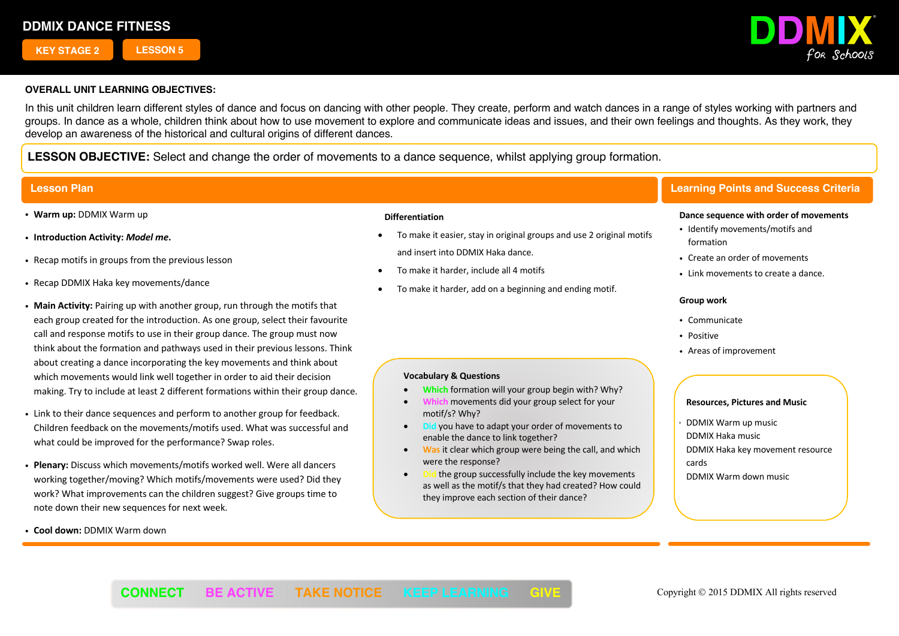**KEY STAGE 2 LESSON 5**



## **OVERALL UNIT LEARNING OBJECTIVES:**

In this unit children learn different styles of dance and focus on dancing with other people. They create, perform and watch dances in a range of styles working with partners and groups. In dance as a whole, children think about how to use movement to explore and communicate ideas and issues, and their own feelings and thoughts. As they work, they develop an awareness of the historical and cultural origins of different dances.

**LESSON OBJECTIVE:** Select and change the order of movements to a dance sequence, whilst applying group formation.

- ! **Warm up:** DDMIX Warm up
- ! **Introduction Activity:** *Model me***.**
- . Recap motifs in groups from the previous lesson
- . Recap DDMIX Haka key movements/dance
- ! **Main Activity:** Pairing up with another group, run through the motifs that each group created for the introduction. As one group, select their favourite call and response motifs to use in their group dance. The group must now think about the formation and pathways used in their previous lessons. Think about creating a dance incorporating the key movements and think about which movements would link well together in order to aid their decision making. Try to include at least 2 different formations within their group dance.
- . Link to their dance sequences and perform to another group for feedback. Children feedback on the movements/motifs used. What was successful and what could be improved for the performance? Swap roles.
- ! **Plenary:** Discuss which movements/motifs worked well. Were all dancers working together/moving? Which motifs/movements were used? Did they work? What improvements can the children suggest? Give groups time to note down their new sequences for next week.
- ! **Cool down:** DDMIX Warm down

#### **Differentiation**

- To make it easier, stay in original groups and use 2 original motifs and insert into DDMIX Haka dance.
- To make it harder, include all 4 motifs

**Vocabulary & Questions**

motif/s? Why?

were the response?

• To make it harder, add on a beginning and ending motif.

# **Lesson Plan Learning Points and Success Criteria**

#### **Dance sequence with order of movements**

- Identify movements/motifs and formation
- Create an order of movements
- Link movements to create a dance.

#### **Group work**

- ! Communicate
- . Positive
- Areas of improvement

## **Resources, Pictures and Music**

! DDMIX Warm up music

DDMIX Warm down music

DDMIX Haka music

DDMIX Haka key movement resource

cards

the group successfully include the key movements as well as the motif/s that they had created? How could they improve each section of their dance?

• **Which** formation will your group begin with? Why? • **Which** movements did your group select for your

**Did** you have to adapt your order of movements to

• **Was** it clear which group were being the call, and which

enable the dance to link together?